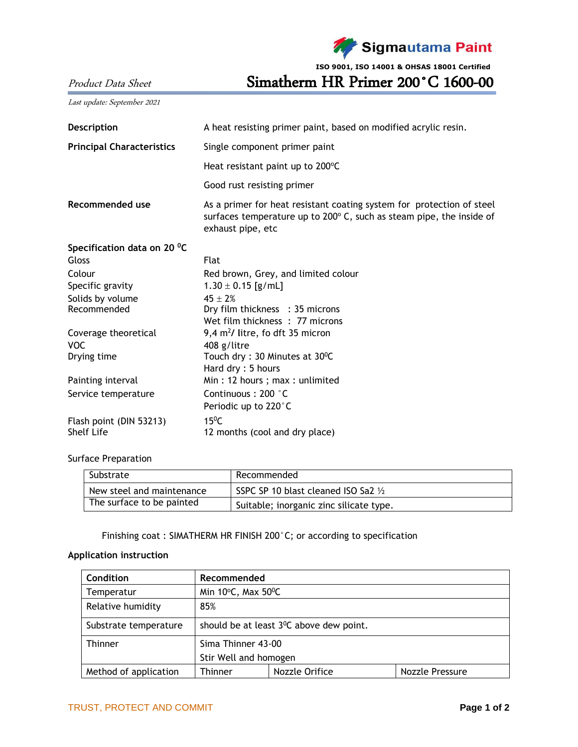Sigmautama Paint

**ISO 9001, ISO 14001 & OHSAS 18001 Certified**

Product Data Sheet Simatherm HR Primer 200°C 1600-00

Last update: September 2021

| <b>Description</b>               | A heat resisting primer paint, based on modified acrylic resin.                                                                                                    |  |  |  |
|----------------------------------|--------------------------------------------------------------------------------------------------------------------------------------------------------------------|--|--|--|
| <b>Principal Characteristics</b> | Single component primer paint                                                                                                                                      |  |  |  |
|                                  | Heat resistant paint up to 200°C                                                                                                                                   |  |  |  |
|                                  | Good rust resisting primer                                                                                                                                         |  |  |  |
| Recommended use                  | As a primer for heat resistant coating system for protection of steel<br>surfaces temperature up to 200° C, such as steam pipe, the inside of<br>exhaust pipe, etc |  |  |  |
| Specification data on 20 °C      |                                                                                                                                                                    |  |  |  |
| Gloss                            | <b>Flat</b>                                                                                                                                                        |  |  |  |
| Colour                           | Red brown, Grey, and limited colour                                                                                                                                |  |  |  |
| Specific gravity                 | $1.30 \pm 0.15$ [g/mL]                                                                                                                                             |  |  |  |
| Solids by volume                 | $45 + 2%$                                                                                                                                                          |  |  |  |
| Recommended                      | Dry film thickness : 35 microns                                                                                                                                    |  |  |  |
|                                  | Wet film thickness: 77 microns                                                                                                                                     |  |  |  |
| Coverage theoretical             | 9,4 $m^2$ / litre, fo dft 35 micron                                                                                                                                |  |  |  |
| <b>VOC</b>                       | 408 g/litre                                                                                                                                                        |  |  |  |
| Drying time                      | Touch dry: 30 Minutes at 30°C                                                                                                                                      |  |  |  |
|                                  | Hard dry: 5 hours                                                                                                                                                  |  |  |  |
| Painting interval                | Min: 12 hours; max: unlimited                                                                                                                                      |  |  |  |
| Service temperature              | Continuous: 200 °C                                                                                                                                                 |  |  |  |
|                                  | Periodic up to 220°C                                                                                                                                               |  |  |  |
| Flash point (DIN 53213)          | $15^{\circ}$ C                                                                                                                                                     |  |  |  |
| Shelf Life                       | 12 months (cool and dry place)                                                                                                                                     |  |  |  |

### Surface Preparation

| Substrate                 | Recommended                             |  |
|---------------------------|-----------------------------------------|--|
| New steel and maintenance | SSPC SP 10 blast cleaned ISO Sa2 1/2    |  |
| The surface to be painted | Suitable; inorganic zinc silicate type. |  |

Finishing coat : SIMATHERM HR FINISH 200°C; or according to specification

## **Application instruction**

| Condition             | Recommended                                          |                |                 |  |  |
|-----------------------|------------------------------------------------------|----------------|-----------------|--|--|
| Temperatur            | Min $10^{\circ}$ C, Max $50^{\circ}$ C               |                |                 |  |  |
| Relative humidity     | 85%                                                  |                |                 |  |  |
| Substrate temperature | should be at least 3 <sup>0</sup> C above dew point. |                |                 |  |  |
| <b>Thinner</b>        | Sima Thinner 43-00                                   |                |                 |  |  |
|                       | Stir Well and homogen                                |                |                 |  |  |
| Method of application | <b>Thinner</b>                                       | Nozzle Orifice | Nozzle Pressure |  |  |